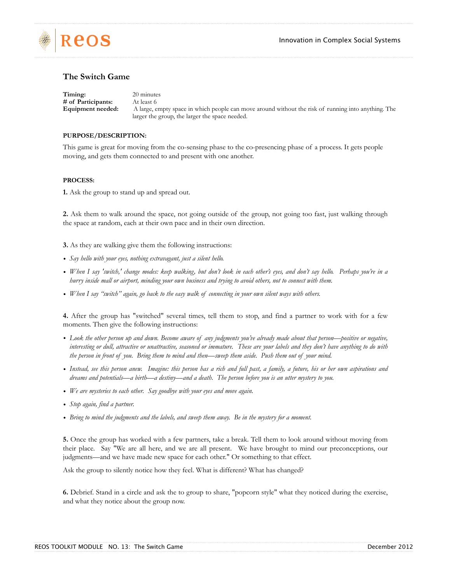

## **The Switch Game**

**Timing:** 20 minutes **# of Participants:** At least 6 **Equipment needed:** A large, empty space in which people can move around without the risk of running into anything. The larger the group, the larger the space needed.

## **PURPOSE/DESCRIPTION:**

This game is great for moving from the co-sensing phase to the co-presencing phase of a process. It gets people moving, and gets them connected to and present with one another.

## **PROCESS:**

**1.** Ask the group to stand up and spread out.

**2.** Ask them to walk around the space, not going outside of the group, not going too fast, just walking through the space at random, each at their own pace and in their own direction.

- **3.** As they are walking give them the following instructions:
- *• Say hello with your eyes, nothing extravagant, just a silent hello.*
- *• When I say 'switch,' change modes: keep walking, but don't look in each other's eyes, and don't say hello. Perhaps you're in a hurry inside mall or airport, minding your own business and trying to avoid others, not to connect with them.*
- *• When I say "switch" again, go back to the easy walk of connecting in your own silent ways with others.*

**4.** After the group has "switched" several times, tell them to stop, and find a partner to work with for a few moments. Then give the following instructions:

- Look the other person up and down. Become aware of any judgments you've already made about that person—positive or negative, *interesting or dull, attractive or unattractive, seasoned or immature. These are your labels and they don't have anything to do with the person in front of you. Bring them to mind and then—sweep them aside. Push them out of your mind.*
- *• Instead, see this person anew. Imagine: this person has a rich and full past, a family, a future, his or her own aspirations and dreams and potentials—a birth—a destiny—and a death. The person before you is an utter mystery to you.*
- *• We are mysteries to each other. Say goodbye with your eyes and move again.*
- *• Stop again, find a partner.*
- *• Bring to mind the judgments and the labels, and sweep them away. Be in the mystery for a moment.*

**5.** Once the group has worked with a few partners, take a break. Tell them to look around without moving from their place. Say "We are all here, and we are all present. We have brought to mind our preconceptions, our judgments—and we have made new space for each other." Or something to that effect.

Ask the group to silently notice how they feel. What is different? What has changed?

**6.** Debrief. Stand in a circle and ask the to group to share, "popcorn style" what they noticed during the exercise, and what they notice about the group now.